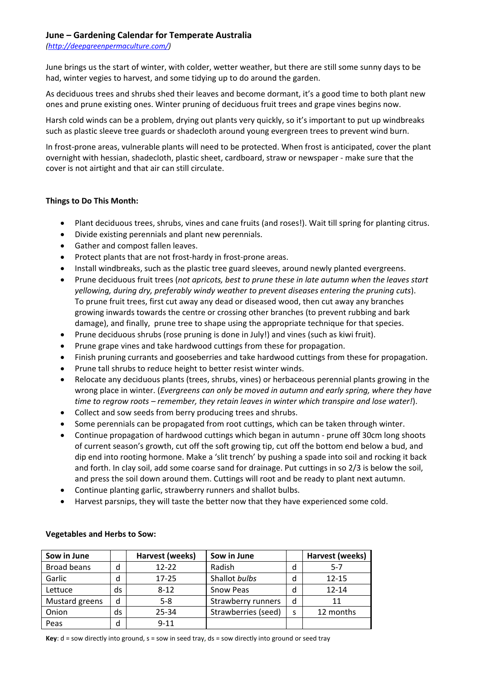### **June – Gardening Calendar for Temperate Australia**

*[\(http://deepgreenpermaculture.com/\)](http://deepgreenpermaculture.com/)*

June brings us the start of winter, with colder, wetter weather, but there are still some sunny days to be had, winter vegies to harvest, and some tidying up to do around the garden.

As deciduous trees and shrubs shed their leaves and become dormant, it's a good time to both plant new ones and prune existing ones. Winter pruning of deciduous fruit trees and grape vines begins now.

Harsh cold winds can be a problem, drying out plants very quickly, so it's important to put up windbreaks such as plastic sleeve tree guards or shadecloth around young evergreen trees to prevent wind burn.

In frost-prone areas, vulnerable plants will need to be protected. When frost is anticipated, cover the plant overnight with hessian, shadecloth, plastic sheet, cardboard, straw or newspaper - make sure that the cover is not airtight and that air can still circulate.

# **Things to Do This Month:**

- Plant deciduous trees, shrubs, vines and cane fruits (and roses!). Wait till spring for planting citrus.
- Divide existing perennials and plant new perennials.
- Gather and compost fallen leaves.
- Protect plants that are not frost-hardy in frost-prone areas.
- Install windbreaks, such as the plastic tree guard sleeves, around newly planted evergreens.
- Prune deciduous fruit trees (*not apricots, best to prune these in late autumn when the leaves start yellowing, during dry, preferably windy weather to prevent diseases entering the pruning cuts*). To prune fruit trees, first cut away any dead or diseased wood, then cut away any branches growing inwards towards the centre or crossing other branches (to prevent rubbing and bark damage), and finally, prune tree to shape using the appropriate technique for that species.
- Prune deciduous shrubs (rose pruning is done in July!) and vines (such as kiwi fruit).
- Prune grape vines and take hardwood cuttings from these for propagation.
- Finish pruning currants and gooseberries and take hardwood cuttings from these for propagation.
- Prune tall shrubs to reduce height to better resist winter winds.
- Relocate any deciduous plants (trees, shrubs, vines) or herbaceous perennial plants growing in the wrong place in winter. (*Evergreens can only be moved in autumn and early spring, where they have time to regrow roots – remember, they retain leaves in winter which transpire and lose water!*).
- Collect and sow seeds from berry producing trees and shrubs.
- Some perennials can be propagated from root cuttings, which can be taken through winter.
- Continue propagation of hardwood cuttings which began in autumn prune off 30cm long shoots of current season's growth, cut off the soft growing tip, cut off the bottom end below a bud, and dip end into rooting hormone. Make a 'slit trench' by pushing a spade into soil and rocking it back and forth. In clay soil, add some coarse sand for drainage. Put cuttings in so 2/3 is below the soil, and press the soil down around them. Cuttings will root and be ready to plant next autumn.
- Continue planting garlic, strawberry runners and shallot bulbs.
- Harvest parsnips, they will taste the better now that they have experienced some cold.

| Sow in June    |    | Harvest (weeks) | Sow in June         |   | Harvest (weeks) |
|----------------|----|-----------------|---------------------|---|-----------------|
| Broad beans    | d  | $12 - 22$       | Radish              | d | $5-7$           |
| Garlic         | d  | 17-25           | Shallot bulbs       |   | $12 - 15$       |
| Lettuce        | ds | $8 - 12$        | Snow Peas           |   | $12 - 14$       |
| Mustard greens | d  | $5-8$           | Strawberry runners  | d | 11              |
| Onion          | ds | 25-34           | Strawberries (seed) |   | 12 months       |
| Peas           | d  | $9 - 11$        |                     |   |                 |

### **Vegetables and Herbs to Sow:**

**Key**: d = sow directly into ground, s = sow in seed tray, ds = sow directly into ground or seed tray